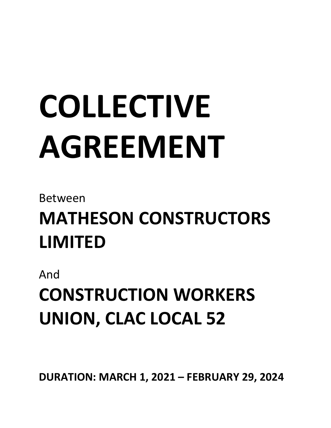# **COLLECTIVE AGREEMENT**

# Between

# **MATHESON CONSTRUCTORS LIMITED**

And

**CONSTRUCTION WORKERS UNION, CLAC LOCAL 52**

**DURATION: MARCH 1, 2021 – FEBRUARY 29, 2024**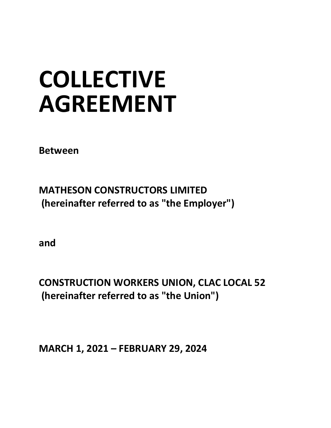# **COLLECTIVE AGREEMENT**

**Between**

**MATHESON CONSTRUCTORS LIMITED (hereinafter referred to as "the Employer")**

**and**

**CONSTRUCTION WORKERS UNION, CLAC LOCAL 52 (hereinafter referred to as "the Union")**

**MARCH 1, 2021 – FEBRUARY 29, 2024**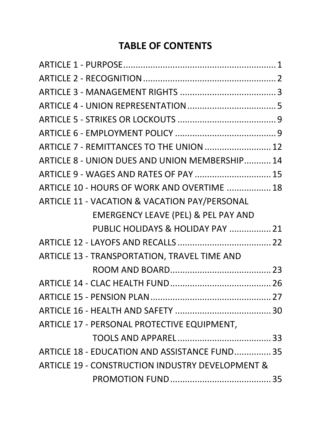# **TABLE OF CONTENTS**

| ARTICLE 7 - REMITTANCES TO THE UNION  12         |  |
|--------------------------------------------------|--|
| ARTICLE 8 - UNION DUES AND UNION MEMBERSHIP 14   |  |
| ARTICLE 9 - WAGES AND RATES OF PAY  15           |  |
| ARTICLE 10 - HOURS OF WORK AND OVERTIME  18      |  |
| ARTICLE 11 - VACATION & VACATION PAY/PERSONAL    |  |
| <b>EMERGENCY LEAVE (PEL) &amp; PEL PAY AND</b>   |  |
| PUBLIC HOLIDAYS & HOLIDAY PAY  21                |  |
|                                                  |  |
| ARTICLE 13 - TRANSPORTATION, TRAVEL TIME AND     |  |
|                                                  |  |
|                                                  |  |
|                                                  |  |
|                                                  |  |
| ARTICLE 17 - PERSONAL PROTECTIVE EQUIPMENT,      |  |
|                                                  |  |
| ARTICLE 18 - EDUCATION AND ASSISTANCE FUND 35    |  |
| ARTICLE 19 - CONSTRUCTION INDUSTRY DEVELOPMENT & |  |
|                                                  |  |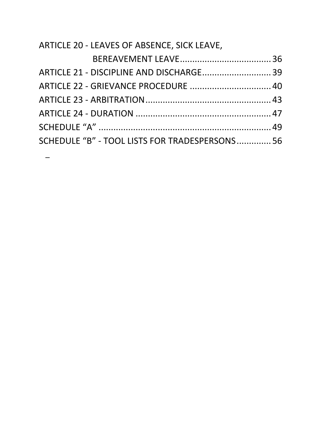| ARTICLE 20 - LEAVES OF ABSENCE, SICK LEAVE,    |  |
|------------------------------------------------|--|
|                                                |  |
| ARTICLE 21 - DISCIPLINE AND DISCHARGE 39       |  |
| ARTICLE 22 - GRIEVANCE PROCEDURE  40           |  |
|                                                |  |
|                                                |  |
|                                                |  |
| SCHEDULE "B" - TOOL LISTS FOR TRADESPERSONS 56 |  |

 $\overline{a}$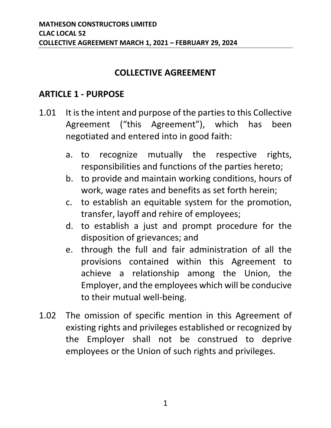#### **COLLECTIVE AGREEMENT**

#### <span id="page-4-0"></span>**ARTICLE 1 - PURPOSE**

- 1.01 It is the intent and purpose of the parties to this Collective Agreement ("this Agreement"), which has been negotiated and entered into in good faith:
	- a. to recognize mutually the respective rights, responsibilities and functions of the parties hereto;
	- b. to provide and maintain working conditions, hours of work, wage rates and benefits as set forth herein;
	- c. to establish an equitable system for the promotion, transfer, layoff and rehire of employees;
	- d. to establish a just and prompt procedure for the disposition of grievances; and
	- e. through the full and fair administration of all the provisions contained within this Agreement to achieve a relationship among the Union, the Employer, and the employees which will be conducive to their mutual well-being.
- 1.02 The omission of specific mention in this Agreement of existing rights and privileges established or recognized by the Employer shall not be construed to deprive employees or the Union of such rights and privileges.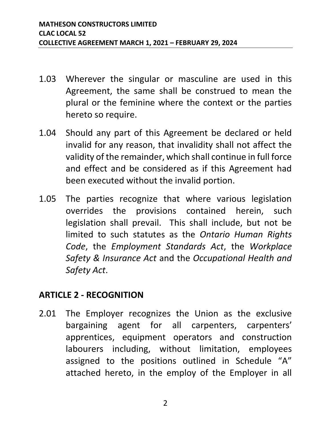- 1.03 Wherever the singular or masculine are used in this Agreement, the same shall be construed to mean the plural or the feminine where the context or the parties hereto so require.
- 1.04 Should any part of this Agreement be declared or held invalid for any reason, that invalidity shall not affect the validity of the remainder, which shall continue in full force and effect and be considered as if this Agreement had been executed without the invalid portion.
- 1.05 The parties recognize that where various legislation overrides the provisions contained herein, such legislation shall prevail. This shall include, but not be limited to such statutes as the *Ontario Human Rights Code*, the *Employment Standards Act*, the *Workplace Safety & Insurance Act* and the *Occupational Health and Safety Act*.

#### <span id="page-5-0"></span>**ARTICLE 2 - RECOGNITION**

2.01 The Employer recognizes the Union as the exclusive bargaining agent for all carpenters, carpenters' apprentices, equipment operators and construction labourers including, without limitation, employees assigned to the positions outlined in Schedule "A" attached hereto, in the employ of the Employer in all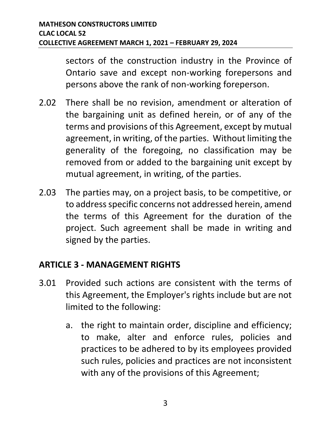sectors of the construction industry in the Province of Ontario save and except non-working forepersons and persons above the rank of non-working foreperson.

- 2.02 There shall be no revision, amendment or alteration of the bargaining unit as defined herein, or of any of the terms and provisions of this Agreement, except by mutual agreement, in writing, of the parties. Without limiting the generality of the foregoing, no classification may be removed from or added to the bargaining unit except by mutual agreement, in writing, of the parties.
- 2.03 The parties may, on a project basis, to be competitive, or to address specific concerns not addressed herein, amend the terms of this Agreement for the duration of the project. Such agreement shall be made in writing and signed by the parties.

#### <span id="page-6-0"></span>**ARTICLE 3 - MANAGEMENT RIGHTS**

- 3.01 Provided such actions are consistent with the terms of this Agreement, the Employer's rights include but are not limited to the following:
	- a. the right to maintain order, discipline and efficiency; to make, alter and enforce rules, policies and practices to be adhered to by its employees provided such rules, policies and practices are not inconsistent with any of the provisions of this Agreement;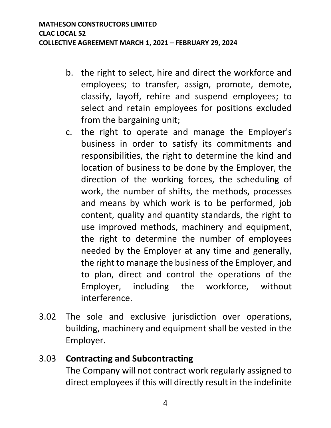- b. the right to select, hire and direct the workforce and employees; to transfer, assign, promote, demote, classify, layoff, rehire and suspend employees; to select and retain employees for positions excluded from the bargaining unit;
- c. the right to operate and manage the Employer's business in order to satisfy its commitments and responsibilities, the right to determine the kind and location of business to be done by the Employer, the direction of the working forces, the scheduling of work, the number of shifts, the methods, processes and means by which work is to be performed, job content, quality and quantity standards, the right to use improved methods, machinery and equipment, the right to determine the number of employees needed by the Employer at any time and generally, the right to manage the business of the Employer, and to plan, direct and control the operations of the Employer, including the workforce, without interference.
- 3.02 The sole and exclusive jurisdiction over operations, building, machinery and equipment shall be vested in the Employer.

### 3.03 **Contracting and Subcontracting** The Company will not contract work regularly assigned to direct employees if this will directly result in the indefinite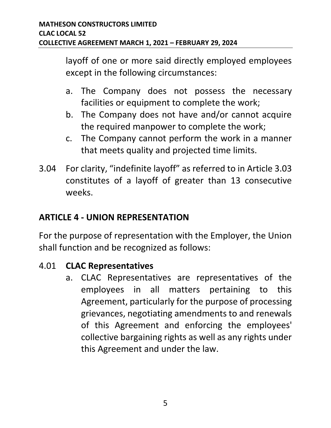layoff of one or more said directly employed employees except in the following circumstances:

- a. The Company does not possess the necessary facilities or equipment to complete the work;
- b. The Company does not have and/or cannot acquire the required manpower to complete the work;
- c. The Company cannot perform the work in a manner that meets quality and projected time limits.
- 3.04 For clarity, "indefinite layoff" as referred to in Article 3.03 constitutes of a layoff of greater than 13 consecutive weeks.

# <span id="page-8-0"></span>**ARTICLE 4 - UNION REPRESENTATION**

For the purpose of representation with the Employer, the Union shall function and be recognized as follows:

# 4.01 **CLAC Representatives**

a. CLAC Representatives are representatives of the employees in all matters pertaining to this Agreement, particularly for the purpose of processing grievances, negotiating amendments to and renewals of this Agreement and enforcing the employees' collective bargaining rights as well as any rights under this Agreement and under the law.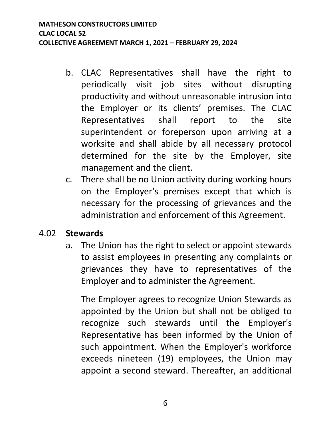- b. CLAC Representatives shall have the right to periodically visit job sites without disrupting productivity and without unreasonable intrusion into the Employer or its clients' premises. The CLAC Representatives shall report to the site superintendent or foreperson upon arriving at a worksite and shall abide by all necessary protocol determined for the site by the Employer, site management and the client.
- c. There shall be no Union activity during working hours on the Employer's premises except that which is necessary for the processing of grievances and the administration and enforcement of this Agreement.

#### 4.02 **Stewards**

a. The Union has the right to select or appoint stewards to assist employees in presenting any complaints or grievances they have to representatives of the Employer and to administer the Agreement.

The Employer agrees to recognize Union Stewards as appointed by the Union but shall not be obliged to recognize such stewards until the Employer's Representative has been informed by the Union of such appointment. When the Employer's workforce exceeds nineteen (19) employees, the Union may appoint a second steward. Thereafter, an additional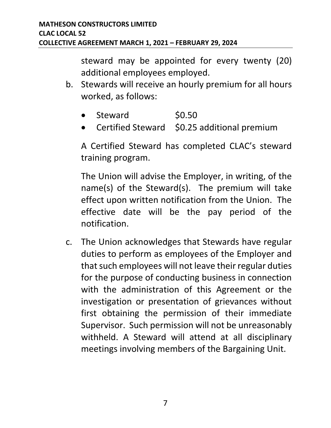steward may be appointed for every twenty (20) additional employees employed.

- b. Stewards will receive an hourly premium for all hours worked, as follows:
	- Steward \$0.50
	- Certified Steward \$0.25 additional premium

A Certified Steward has completed CLAC's steward training program.

The Union will advise the Employer, in writing, of the name(s) of the Steward(s). The premium will take effect upon written notification from the Union. The effective date will be the pay period of the notification.

c. The Union acknowledges that Stewards have regular duties to perform as employees of the Employer and that such employees will not leave their regular duties for the purpose of conducting business in connection with the administration of this Agreement or the investigation or presentation of grievances without first obtaining the permission of their immediate Supervisor. Such permission will not be unreasonably withheld. A Steward will attend at all disciplinary meetings involving members of the Bargaining Unit.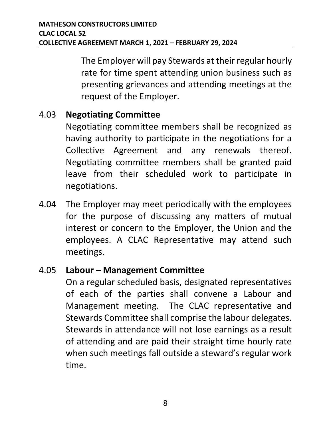The Employer will pay Stewards at their regular hourly rate for time spent attending union business such as presenting grievances and attending meetings at the request of the Employer.

#### 4.03 **Negotiating Committee**

Negotiating committee members shall be recognized as having authority to participate in the negotiations for a Collective Agreement and any renewals thereof. Negotiating committee members shall be granted paid leave from their scheduled work to participate in negotiations.

4.04 The Employer may meet periodically with the employees for the purpose of discussing any matters of mutual interest or concern to the Employer, the Union and the employees. A CLAC Representative may attend such meetings.

#### 4.05 **Labour – Management Committee**

On a regular scheduled basis, designated representatives of each of the parties shall convene a Labour and Management meeting. The CLAC representative and Stewards Committee shall comprise the labour delegates. Stewards in attendance will not lose earnings as a result of attending and are paid their straight time hourly rate when such meetings fall outside a steward's regular work time.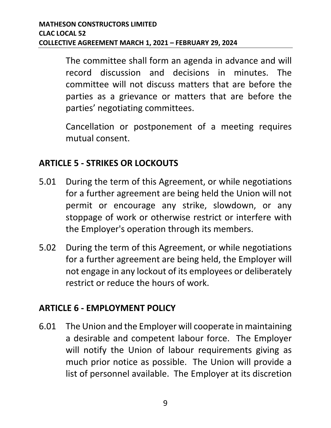The committee shall form an agenda in advance and will record discussion and decisions in minutes. The committee will not discuss matters that are before the parties as a grievance or matters that are before the parties' negotiating committees.

Cancellation or postponement of a meeting requires mutual consent.

### <span id="page-12-0"></span>**ARTICLE 5 - STRIKES OR LOCKOUTS**

- 5.01 During the term of this Agreement, or while negotiations for a further agreement are being held the Union will not permit or encourage any strike, slowdown, or any stoppage of work or otherwise restrict or interfere with the Employer's operation through its members.
- 5.02 During the term of this Agreement, or while negotiations for a further agreement are being held, the Employer will not engage in any lockout of its employees or deliberately restrict or reduce the hours of work.

#### <span id="page-12-1"></span>**ARTICLE 6 - EMPLOYMENT POLICY**

6.01 The Union and the Employer will cooperate in maintaining a desirable and competent labour force. The Employer will notify the Union of labour requirements giving as much prior notice as possible. The Union will provide a list of personnel available. The Employer at its discretion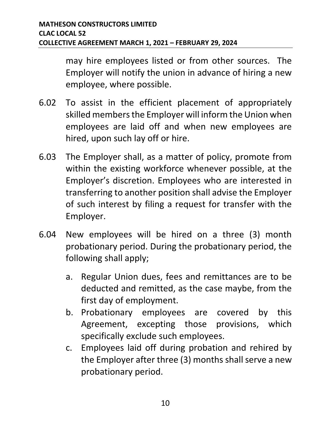may hire employees listed or from other sources. The Employer will notify the union in advance of hiring a new employee, where possible.

- 6.02 To assist in the efficient placement of appropriately skilled members the Employer will inform the Union when employees are laid off and when new employees are hired, upon such lay off or hire.
- 6.03 The Employer shall, as a matter of policy, promote from within the existing workforce whenever possible, at the Employer's discretion. Employees who are interested in transferring to another position shall advise the Employer of such interest by filing a request for transfer with the Employer.
- 6.04 New employees will be hired on a three (3) month probationary period. During the probationary period, the following shall apply;
	- a. Regular Union dues, fees and remittances are to be deducted and remitted, as the case maybe, from the first day of employment.
	- b. Probationary employees are covered by this Agreement, excepting those provisions, which specifically exclude such employees.
	- c. Employees laid off during probation and rehired by the Employer after three (3) months shall serve a new probationary period.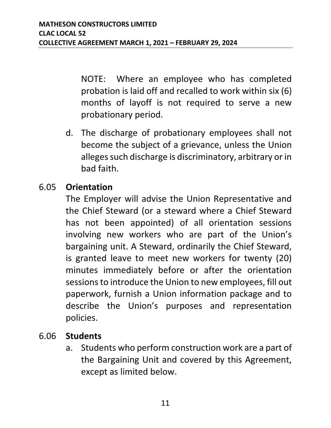NOTE: Where an employee who has completed probation is laid off and recalled to work within six (6) months of layoff is not required to serve a new probationary period.

d. The discharge of probationary employees shall not become the subject of a grievance, unless the Union alleges such discharge is discriminatory, arbitrary or in bad faith.

#### 6.05 **Orientation**

The Employer will advise the Union Representative and the Chief Steward (or a steward where a Chief Steward has not been appointed) of all orientation sessions involving new workers who are part of the Union's bargaining unit. A Steward, ordinarily the Chief Steward, is granted leave to meet new workers for twenty (20) minutes immediately before or after the orientation sessions to introduce the Union to new employees, fill out paperwork, furnish a Union information package and to describe the Union's purposes and representation policies.

#### 6.06 **Students**

a. Students who perform construction work are a part of the Bargaining Unit and covered by this Agreement, except as limited below.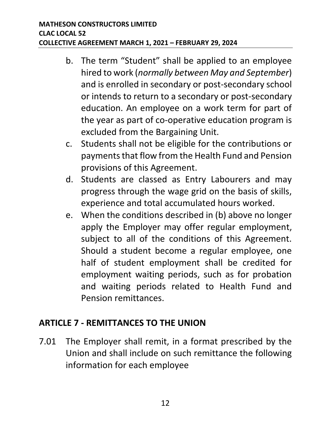- b. The term "Student" shall be applied to an employee hired to work (*normally between May and September*) and is enrolled in secondary or post-secondary school or intends to return to a secondary or post-secondary education. An employee on a work term for part of the year as part of co-operative education program is excluded from the Bargaining Unit.
- c. Students shall not be eligible for the contributions or payments that flow from the Health Fund and Pension provisions of this Agreement.
- d. Students are classed as Entry Labourers and may progress through the wage grid on the basis of skills, experience and total accumulated hours worked.
- e. When the conditions described in (b) above no longer apply the Employer may offer regular employment, subject to all of the conditions of this Agreement. Should a student become a regular employee, one half of student employment shall be credited for employment waiting periods, such as for probation and waiting periods related to Health Fund and Pension remittances.

#### <span id="page-15-0"></span>**ARTICLE 7 - REMITTANCES TO THE UNION**

7.01 The Employer shall remit, in a format prescribed by the Union and shall include on such remittance the following information for each employee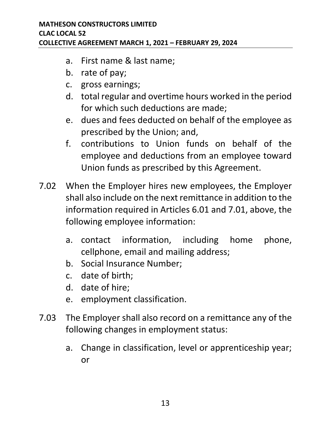- a. First name & last name;
- b. rate of pay;
- c. gross earnings;
- d. total regular and overtime hours worked in the period for which such deductions are made;
- e. dues and fees deducted on behalf of the employee as prescribed by the Union; and,
- f. contributions to Union funds on behalf of the employee and deductions from an employee toward Union funds as prescribed by this Agreement.
- 7.02 When the Employer hires new employees, the Employer shall also include on the next remittance in addition to the information required in Articles 6.01 and 7.01, above, the following employee information:
	- a. contact information, including home phone, cellphone, email and mailing address;
	- b. Social Insurance Number;
	- c. date of birth;
	- d. date of hire;
	- e. employment classification.
- 7.03 The Employer shall also record on a remittance any of the following changes in employment status:
	- a. Change in classification, level or apprenticeship year; or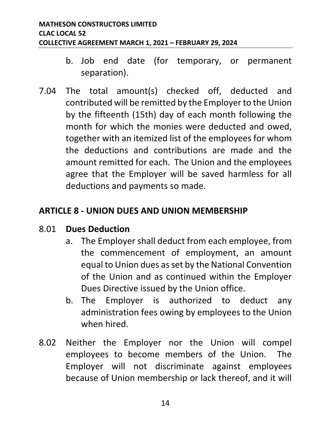- b. Job end date (for temporary, or permanent separation).
- 7.04 The total amount(s) checked off, deducted and contributed will be remitted by the Employer to the Union by the fifteenth (15th) day of each month following the month for which the monies were deducted and owed, together with an itemized list of the employees for whom the deductions and contributions are made and the amount remitted for each. The Union and the employees agree that the Employer will be saved harmless for all deductions and payments so made.

### <span id="page-17-0"></span>**ARTICLE 8 - UNION DUES AND UNION MEMBERSHIP**

#### 8.01 **Dues Deduction**

- a. The Employer shall deduct from each employee, from the commencement of employment, an amount equal to Union dues as set by the National Convention of the Union and as continued within the Employer Dues Directive issued by the Union office.
- b. The Employer is authorized to deduct any administration fees owing by employees to the Union when hired.
- 8.02 Neither the Employer nor the Union will compel employees to become members of the Union. The Employer will not discriminate against employees because of Union membership or lack thereof, and it will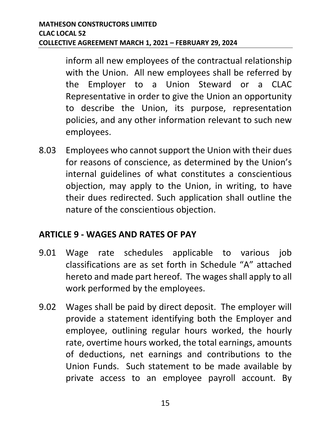inform all new employees of the contractual relationship with the Union. All new employees shall be referred by the Employer to a Union Steward or a CLAC Representative in order to give the Union an opportunity to describe the Union, its purpose, representation policies, and any other information relevant to such new employees.

8.03 Employees who cannot support the Union with their dues for reasons of conscience, as determined by the Union's internal guidelines of what constitutes a conscientious objection, may apply to the Union, in writing, to have their dues redirected. Such application shall outline the nature of the conscientious objection.

#### <span id="page-18-0"></span>**ARTICLE 9 - WAGES AND RATES OF PAY**

- 9.01 Wage rate schedules applicable to various job classifications are as set forth in Schedule "A" attached hereto and made part hereof. The wages shall apply to all work performed by the employees.
- 9.02 Wages shall be paid by direct deposit. The employer will provide a statement identifying both the Employer and employee, outlining regular hours worked, the hourly rate, overtime hours worked, the total earnings, amounts of deductions, net earnings and contributions to the Union Funds. Such statement to be made available by private access to an employee payroll account. By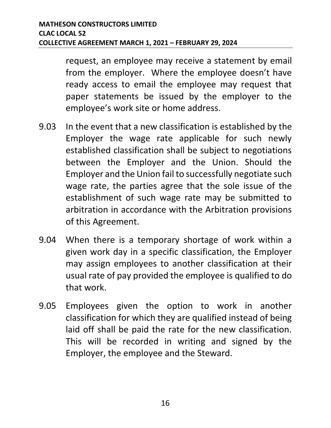request, an employee may receive a statement by email from the employer. Where the employee doesn't have ready access to email the employee may request that paper statements be issued by the employer to the employee's work site or home address.

- 9.03 In the event that a new classification is established by the Employer the wage rate applicable for such newly established classification shall be subject to negotiations between the Employer and the Union. Should the Employer and the Union fail to successfully negotiate such wage rate, the parties agree that the sole issue of the establishment of such wage rate may be submitted to arbitration in accordance with the Arbitration provisions of this Agreement.
- 9.04 When there is a temporary shortage of work within a given work day in a specific classification, the Employer may assign employees to another classification at their usual rate of pay provided the employee is qualified to do that work.
- 9.05 Employees given the option to work in another classification for which they are qualified instead of being laid off shall be paid the rate for the new classification. This will be recorded in writing and signed by the Employer, the employee and the Steward.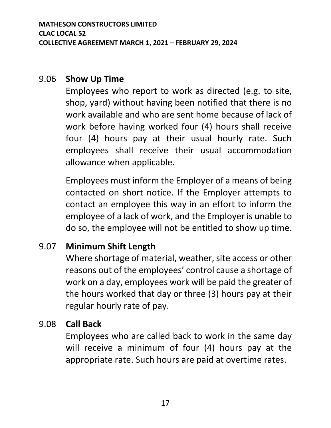#### 9.06 **Show Up Time**

Employees who report to work as directed (e.g. to site, shop, yard) without having been notified that there is no work available and who are sent home because of lack of work before having worked four (4) hours shall receive four (4) hours pay at their usual hourly rate. Such employees shall receive their usual accommodation allowance when applicable.

Employees must inform the Employer of a means of being contacted on short notice. If the Employer attempts to contact an employee this way in an effort to inform the employee of a lack of work, and the Employer is unable to do so, the employee will not be entitled to show up time.

#### 9.07 **Minimum Shift Length**

Where shortage of material, weather, site access or other reasons out of the employees' control cause a shortage of work on a day, employees work will be paid the greater of the hours worked that day or three (3) hours pay at their regular hourly rate of pay.

#### 9.08 **Call Back**

Employees who are called back to work in the same day will receive a minimum of four (4) hours pay at the appropriate rate. Such hours are paid at overtime rates.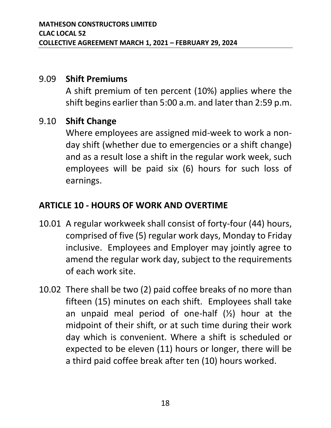#### 9.09 **Shift Premiums**

A shift premium of ten percent (10%) applies where the shift begins earlier than 5:00 a.m. and later than 2:59 p.m.

#### 9.10 **Shift Change**

Where employees are assigned mid-week to work a nonday shift (whether due to emergencies or a shift change) and as a result lose a shift in the regular work week, such employees will be paid six (6) hours for such loss of earnings.

#### <span id="page-21-0"></span>**ARTICLE 10 - HOURS OF WORK AND OVERTIME**

- 10.01 A regular workweek shall consist of forty-four (44) hours, comprised of five (5) regular work days, Monday to Friday inclusive. Employees and Employer may jointly agree to amend the regular work day, subject to the requirements of each work site.
- 10.02 There shall be two (2) paid coffee breaks of no more than fifteen (15) minutes on each shift. Employees shall take an unpaid meal period of one-half  $(\frac{1}{2})$  hour at the midpoint of their shift, or at such time during their work day which is convenient. Where a shift is scheduled or expected to be eleven (11) hours or longer, there will be a third paid coffee break after ten (10) hours worked.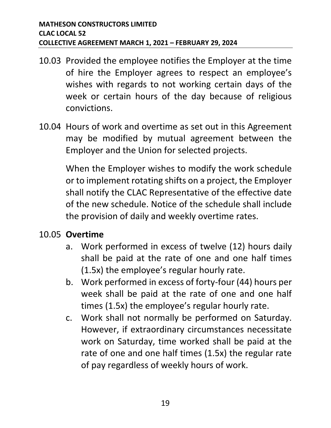- 10.03 Provided the employee notifies the Employer at the time of hire the Employer agrees to respect an employee's wishes with regards to not working certain days of the week or certain hours of the day because of religious convictions.
- 10.04 Hours of work and overtime as set out in this Agreement may be modified by mutual agreement between the Employer and the Union for selected projects.

When the Employer wishes to modify the work schedule or to implement rotating shifts on a project, the Employer shall notify the CLAC Representative of the effective date of the new schedule. Notice of the schedule shall include the provision of daily and weekly overtime rates.

#### 10.05 **Overtime**

- a. Work performed in excess of twelve (12) hours daily shall be paid at the rate of one and one half times (1.5x) the employee's regular hourly rate.
- b. Work performed in excess of forty-four (44) hours per week shall be paid at the rate of one and one half times (1.5x) the employee's regular hourly rate.
- c. Work shall not normally be performed on Saturday. However, if extraordinary circumstances necessitate work on Saturday, time worked shall be paid at the rate of one and one half times (1.5x) the regular rate of pay regardless of weekly hours of work.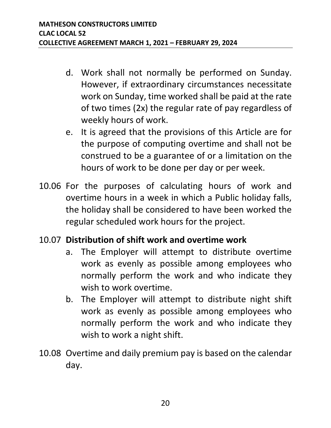- d. Work shall not normally be performed on Sunday. However, if extraordinary circumstances necessitate work on Sunday, time worked shall be paid at the rate of two times (2x) the regular rate of pay regardless of weekly hours of work.
- e. It is agreed that the provisions of this Article are for the purpose of computing overtime and shall not be construed to be a guarantee of or a limitation on the hours of work to be done per day or per week.
- 10.06 For the purposes of calculating hours of work and overtime hours in a week in which a Public holiday falls, the holiday shall be considered to have been worked the regular scheduled work hours for the project.

#### 10.07 **Distribution of shift work and overtime work**

- a. The Employer will attempt to distribute overtime work as evenly as possible among employees who normally perform the work and who indicate they wish to work overtime.
- b. The Employer will attempt to distribute night shift work as evenly as possible among employees who normally perform the work and who indicate they wish to work a night shift.
- 10.08 Overtime and daily premium pay is based on the calendar day.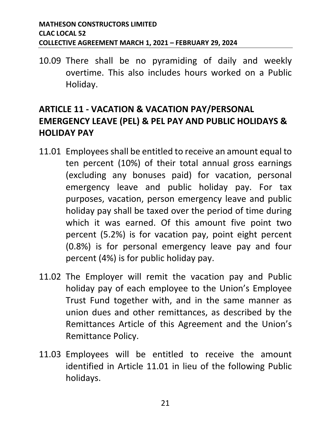10.09 There shall be no pyramiding of daily and weekly overtime. This also includes hours worked on a Public Holiday.

# <span id="page-24-0"></span>**ARTICLE 11 - VACATION & VACATION PAY/PERSONAL EMERGENCY LEAVE (PEL) & PEL PAY AND PUBLIC HOLIDAYS & HOLIDAY PAY**

- 11.01 Employees shall be entitled to receive an amount equal to ten percent (10%) of their total annual gross earnings (excluding any bonuses paid) for vacation, personal emergency leave and public holiday pay. For tax purposes, vacation, person emergency leave and public holiday pay shall be taxed over the period of time during which it was earned. Of this amount five point two percent (5.2%) is for vacation pay, point eight percent (0.8%) is for personal emergency leave pay and four percent (4%) is for public holiday pay.
- 11.02 The Employer will remit the vacation pay and Public holiday pay of each employee to the Union's Employee Trust Fund together with, and in the same manner as union dues and other remittances, as described by the Remittances Article of this Agreement and the Union's Remittance Policy.
- 11.03 Employees will be entitled to receive the amount identified in Article 11.01 in lieu of the following Public holidays.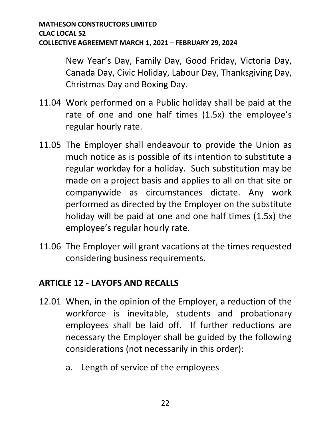New Year's Day, Family Day, Good Friday, Victoria Day, Canada Day, Civic Holiday, Labour Day, Thanksgiving Day, Christmas Day and Boxing Day.

- 11.04 Work performed on a Public holiday shall be paid at the rate of one and one half times (1.5x) the employee's regular hourly rate.
- 11.05 The Employer shall endeavour to provide the Union as much notice as is possible of its intention to substitute a regular workday for a holiday. Such substitution may be made on a project basis and applies to all on that site or companywide as circumstances dictate. Any work performed as directed by the Employer on the substitute holiday will be paid at one and one half times (1.5x) the employee's regular hourly rate.
- 11.06 The Employer will grant vacations at the times requested considering business requirements.

#### <span id="page-25-0"></span>**ARTICLE 12 - LAYOFS AND RECALLS**

- 12.01 When, in the opinion of the Employer, a reduction of the workforce is inevitable, students and probationary employees shall be laid off. If further reductions are necessary the Employer shall be guided by the following considerations (not necessarily in this order):
	- a. Length of service of the employees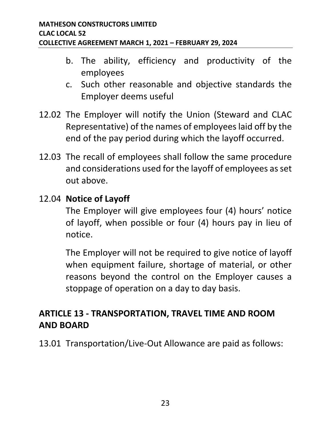- b. The ability, efficiency and productivity of the employees
- c. Such other reasonable and objective standards the Employer deems useful
- 12.02 The Employer will notify the Union (Steward and CLAC Representative) of the names of employees laid off by the end of the pay period during which the layoff occurred.
- 12.03 The recall of employees shall follow the same procedure and considerations used for the layoff of employees as set out above.

#### 12.04 **Notice of Layoff**

The Employer will give employees four (4) hours' notice of layoff, when possible or four (4) hours pay in lieu of notice.

The Employer will not be required to give notice of layoff when equipment failure, shortage of material, or other reasons beyond the control on the Employer causes a stoppage of operation on a day to day basis.

# <span id="page-26-0"></span>**ARTICLE 13 - TRANSPORTATION, TRAVEL TIME AND ROOM AND BOARD**

13.01 Transportation/Live-Out Allowance are paid as follows: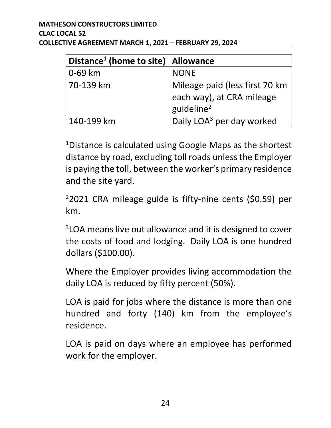| Distance <sup>1</sup> (home to site)   Allowance |                                                                                        |
|--------------------------------------------------|----------------------------------------------------------------------------------------|
| 0-69 km                                          | <b>NONE</b>                                                                            |
| 70-139 km                                        | Mileage paid (less first 70 km)<br>each way), at CRA mileage<br>guideline <sup>2</sup> |
| 140-199 km                                       | Daily LOA <sup>3</sup> per day worked                                                  |

<sup>1</sup>Distance is calculated using Google Maps as the shortest distance by road, excluding toll roads unless the Employer is paying the toll, between the worker's primary residence and the site yard.

 $22021$  CRA mileage guide is fifty-nine cents (\$0.59) per km.

<sup>3</sup>LOA means live out allowance and it is designed to cover the costs of food and lodging. Daily LOA is one hundred dollars (\$100.00).

Where the Employer provides living accommodation the daily LOA is reduced by fifty percent (50%).

LOA is paid for jobs where the distance is more than one hundred and forty (140) km from the employee's residence.

LOA is paid on days where an employee has performed work for the employer.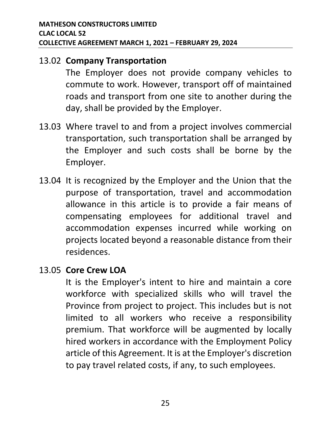#### 13.02 **Company Transportation**

The Employer does not provide company vehicles to commute to work. However, transport off of maintained roads and transport from one site to another during the day, shall be provided by the Employer.

- 13.03 Where travel to and from a project involves commercial transportation, such transportation shall be arranged by the Employer and such costs shall be borne by the Employer.
- 13.04 It is recognized by the Employer and the Union that the purpose of transportation, travel and accommodation allowance in this article is to provide a fair means of compensating employees for additional travel and accommodation expenses incurred while working on projects located beyond a reasonable distance from their residences.

#### 13.05 **Core Crew LOA**

It is the Employer's intent to hire and maintain a core workforce with specialized skills who will travel the Province from project to project. This includes but is not limited to all workers who receive a responsibility premium. That workforce will be augmented by locally hired workers in accordance with the Employment Policy article of this Agreement. It is at the Employer's discretion to pay travel related costs, if any, to such employees.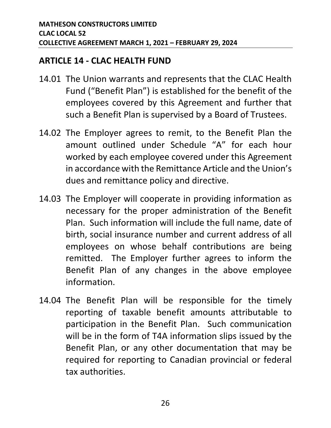#### <span id="page-29-0"></span>**ARTICLE 14 - CLAC HEALTH FUND**

- 14.01 The Union warrants and represents that the CLAC Health Fund ("Benefit Plan") is established for the benefit of the employees covered by this Agreement and further that such a Benefit Plan is supervised by a Board of Trustees.
- 14.02 The Employer agrees to remit, to the Benefit Plan the amount outlined under Schedule "A" for each hour worked by each employee covered under this Agreement in accordance with the Remittance Article and the Union's dues and remittance policy and directive.
- 14.03 The Employer will cooperate in providing information as necessary for the proper administration of the Benefit Plan. Such information will include the full name, date of birth, social insurance number and current address of all employees on whose behalf contributions are being remitted. The Employer further agrees to inform the Benefit Plan of any changes in the above employee information.
- 14.04 The Benefit Plan will be responsible for the timely reporting of taxable benefit amounts attributable to participation in the Benefit Plan. Such communication will be in the form of T4A information slips issued by the Benefit Plan, or any other documentation that may be required for reporting to Canadian provincial or federal tax authorities.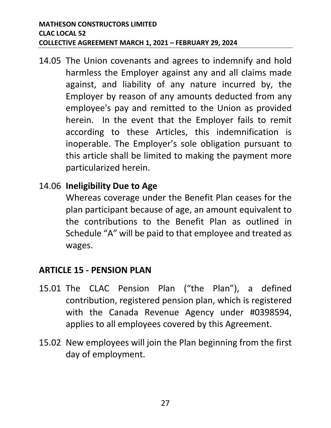14.05 The Union covenants and agrees to indemnify and hold harmless the Employer against any and all claims made against, and liability of any nature incurred by, the Employer by reason of any amounts deducted from any employee's pay and remitted to the Union as provided herein. In the event that the Employer fails to remit according to these Articles, this indemnification is inoperable. The Employer's sole obligation pursuant to this article shall be limited to making the payment more particularized herein.

#### 14.06 **Ineligibility Due to Age**

Whereas coverage under the Benefit Plan ceases for the plan participant because of age, an amount equivalent to the contributions to the Benefit Plan as outlined in Schedule "A" will be paid to that employee and treated as wages.

# <span id="page-30-0"></span>**ARTICLE 15 - PENSION PLAN**

- 15.01 The CLAC Pension Plan ("the Plan"), a defined contribution, registered pension plan, which is registered with the Canada Revenue Agency under #0398594, applies to all employees covered by this Agreement.
- 15.02 New employees will join the Plan beginning from the first day of employment.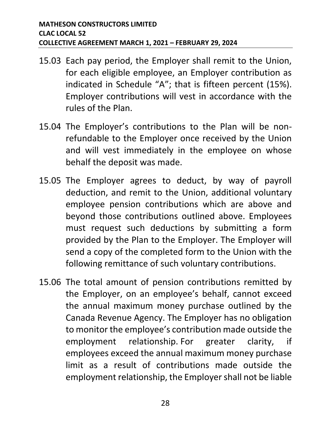- 15.03 Each pay period, the Employer shall remit to the Union, for each eligible employee, an Employer contribution as indicated in Schedule "A"; that is fifteen percent (15%). Employer contributions will vest in accordance with the rules of the Plan.
- 15.04 The Employer's contributions to the Plan will be nonrefundable to the Employer once received by the Union and will vest immediately in the employee on whose behalf the deposit was made.
- 15.05 The Employer agrees to deduct, by way of payroll deduction, and remit to the Union, additional voluntary employee pension contributions which are above and beyond those contributions outlined above. Employees must request such deductions by submitting a form provided by the Plan to the Employer. The Employer will send a copy of the completed form to the Union with the following remittance of such voluntary contributions.
- 15.06 The total amount of pension contributions remitted by the Employer, on an employee's behalf, cannot exceed the annual maximum money purchase outlined by the Canada Revenue Agency. The Employer has no obligation to monitor the employee's contribution made outside the employment relationship. For greater clarity, if employees exceed the annual maximum money purchase limit as a result of contributions made outside the employment relationship, the Employer shall not be liable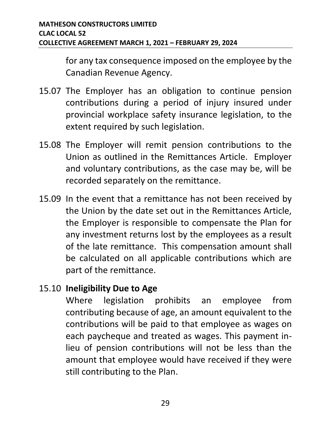for any tax consequence imposed on the employee by the Canadian Revenue Agency.

- 15.07 The Employer has an obligation to continue pension contributions during a period of injury insured under provincial workplace safety insurance legislation, to the extent required by such legislation.
- 15.08 The Employer will remit pension contributions to the Union as outlined in the Remittances Article. Employer and voluntary contributions, as the case may be, will be recorded separately on the remittance.
- 15.09 In the event that a remittance has not been received by the Union by the date set out in the Remittances Article, the Employer is responsible to compensate the Plan for any investment returns lost by the employees as a result of the late remittance. This compensation amount shall be calculated on all applicable contributions which are part of the remittance.

#### 15.10 **Ineligibility Due to Age**

Where legislation prohibits an employee from contributing because of age, an amount equivalent to the contributions will be paid to that employee as wages on each paycheque and treated as wages. This payment inlieu of pension contributions will not be less than the amount that employee would have received if they were still contributing to the Plan.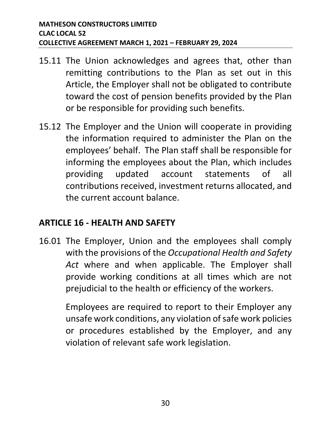- 15.11 The Union acknowledges and agrees that, other than remitting contributions to the Plan as set out in this Article, the Employer shall not be obligated to contribute toward the cost of pension benefits provided by the Plan or be responsible for providing such benefits.
- 15.12 The Employer and the Union will cooperate in providing the information required to administer the Plan on the employees' behalf. The Plan staff shall be responsible for informing the employees about the Plan, which includes providing updated account statements of all contributions received, investment returns allocated, and the current account balance.

#### <span id="page-33-0"></span>**ARTICLE 16 - HEALTH AND SAFETY**

16.01 The Employer, Union and the employees shall comply with the provisions of the *Occupational Health and Safety Act* where and when applicable. The Employer shall provide working conditions at all times which are not prejudicial to the health or efficiency of the workers.

> Employees are required to report to their Employer any unsafe work conditions, any violation of safe work policies or procedures established by the Employer, and any violation of relevant safe work legislation.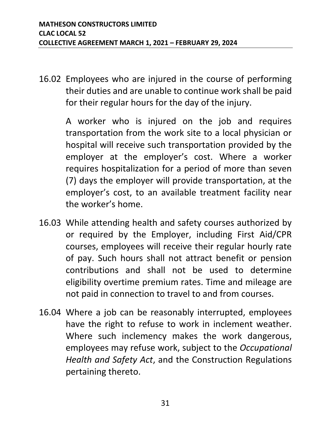16.02 Employees who are injured in the course of performing their duties and are unable to continue work shall be paid for their regular hours for the day of the injury.

> A worker who is injured on the job and requires transportation from the work site to a local physician or hospital will receive such transportation provided by the employer at the employer's cost. Where a worker requires hospitalization for a period of more than seven (7) days the employer will provide transportation, at the employer's cost, to an available treatment facility near the worker's home.

- 16.03 While attending health and safety courses authorized by or required by the Employer, including First Aid/CPR courses, employees will receive their regular hourly rate of pay. Such hours shall not attract benefit or pension contributions and shall not be used to determine eligibility overtime premium rates. Time and mileage are not paid in connection to travel to and from courses.
- 16.04 Where a job can be reasonably interrupted, employees have the right to refuse to work in inclement weather. Where such inclemency makes the work dangerous, employees may refuse work, subject to the *Occupational Health and Safety Act*, and the Construction Regulations pertaining thereto.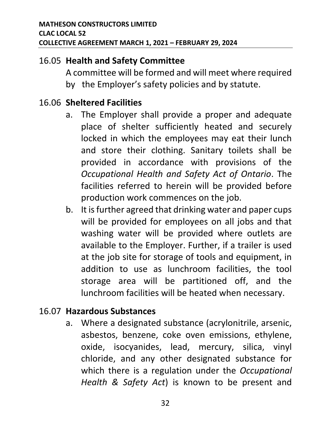#### 16.05 **Health and Safety Committee**

A committee will be formed and will meet where required by the Employer's safety policies and by statute.

#### 16.06 **Sheltered Facilities**

- a. The Employer shall provide a proper and adequate place of shelter sufficiently heated and securely locked in which the employees may eat their lunch and store their clothing. Sanitary toilets shall be provided in accordance with provisions of the *Occupational Health and Safety Act of Ontario*. The facilities referred to herein will be provided before production work commences on the job.
- b. It is further agreed that drinking water and paper cups will be provided for employees on all jobs and that washing water will be provided where outlets are available to the Employer. Further, if a trailer is used at the job site for storage of tools and equipment, in addition to use as lunchroom facilities, the tool storage area will be partitioned off, and the lunchroom facilities will be heated when necessary.

# 16.07 **Hazardous Substances**

a. Where a designated substance (acrylonitrile, arsenic, asbestos, benzene, coke oven emissions, ethylene, oxide, isocyanides, lead, mercury, silica, vinyl chloride, and any other designated substance for which there is a regulation under the *Occupational Health & Safety Act*) is known to be present and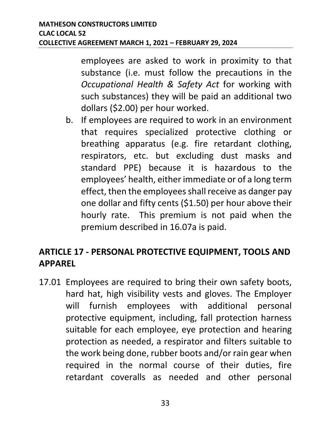employees are asked to work in proximity to that substance (i.e. must follow the precautions in the *Occupational Health & Safety Act* for working with such substances) they will be paid an additional two dollars (\$2.00) per hour worked.

b. If employees are required to work in an environment that requires specialized protective clothing or breathing apparatus (e.g. fire retardant clothing, respirators, etc. but excluding dust masks and standard PPE) because it is hazardous to the employees' health, either immediate or of a long term effect, then the employees shall receive as danger pay one dollar and fifty cents (\$1.50) per hour above their hourly rate. This premium is not paid when the premium described in 16.07a is paid.

# <span id="page-36-0"></span>**ARTICLE 17 - PERSONAL PROTECTIVE EQUIPMENT, TOOLS AND APPAREL**

17.01 Employees are required to bring their own safety boots, hard hat, high visibility vests and gloves. The Employer will furnish employees with additional personal protective equipment, including, fall protection harness suitable for each employee, eye protection and hearing protection as needed, a respirator and filters suitable to the work being done, rubber boots and/or rain gear when required in the normal course of their duties, fire retardant coveralls as needed and other personal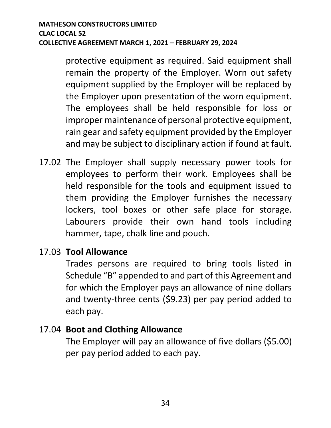protective equipment as required. Said equipment shall remain the property of the Employer. Worn out safety equipment supplied by the Employer will be replaced by the Employer upon presentation of the worn equipment. The employees shall be held responsible for loss or improper maintenance of personal protective equipment, rain gear and safety equipment provided by the Employer and may be subject to disciplinary action if found at fault.

17.02 The Employer shall supply necessary power tools for employees to perform their work. Employees shall be held responsible for the tools and equipment issued to them providing the Employer furnishes the necessary lockers, tool boxes or other safe place for storage. Labourers provide their own hand tools including hammer, tape, chalk line and pouch.

# 17.03 **Tool Allowance**

Trades persons are required to bring tools listed in Schedule "B" appended to and part of this Agreement and for which the Employer pays an allowance of nine dollars and twenty-three cents (\$9.23) per pay period added to each pay.

#### 17.04 **Boot and Clothing Allowance**

The Employer will pay an allowance of five dollars (\$5.00) per pay period added to each pay.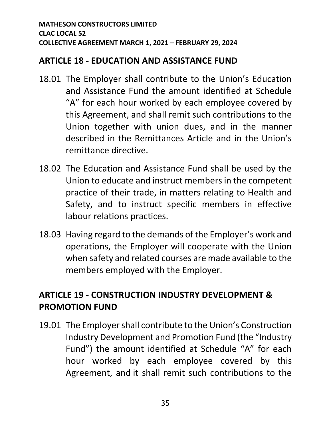#### <span id="page-38-0"></span>**ARTICLE 18 - EDUCATION AND ASSISTANCE FUND**

- 18.01 The Employer shall contribute to the Union's Education and Assistance Fund the amount identified at Schedule "A" for each hour worked by each employee covered by this Agreement, and shall remit such contributions to the Union together with union dues, and in the manner described in the Remittances Article and in the Union's remittance directive.
- 18.02 The Education and Assistance Fund shall be used by the Union to educate and instruct members in the competent practice of their trade, in matters relating to Health and Safety, and to instruct specific members in effective labour relations practices.
- 18.03 Having regard to the demands of the Employer's work and operations, the Employer will cooperate with the Union when safety and related courses are made available to the members employed with the Employer.

# <span id="page-38-1"></span>**ARTICLE 19 - CONSTRUCTION INDUSTRY DEVELOPMENT & PROMOTION FUND**

19.01 The Employer shall contribute to the Union's Construction Industry Development and Promotion Fund (the "Industry Fund") the amount identified at Schedule "A" for each hour worked by each employee covered by this Agreement, and it shall remit such contributions to the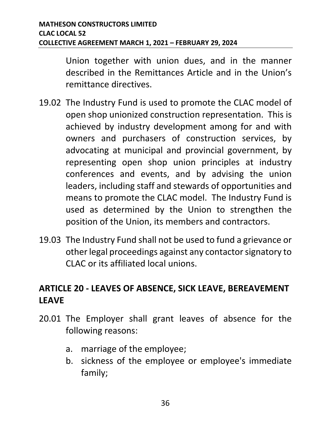Union together with union dues, and in the manner described in the Remittances Article and in the Union's remittance directives.

- 19.02 The Industry Fund is used to promote the CLAC model of open shop unionized construction representation. This is achieved by industry development among for and with owners and purchasers of construction services, by advocating at municipal and provincial government, by representing open shop union principles at industry conferences and events, and by advising the union leaders, including staff and stewards of opportunities and means to promote the CLAC model. The Industry Fund is used as determined by the Union to strengthen the position of the Union, its members and contractors.
- 19.03 The Industry Fund shall not be used to fund a grievance or other legal proceedings against any contactor signatory to CLAC or its affiliated local unions.

# <span id="page-39-0"></span>**ARTICLE 20 - LEAVES OF ABSENCE, SICK LEAVE, BEREAVEMENT LEAVE**

- 20.01 The Employer shall grant leaves of absence for the following reasons:
	- a. marriage of the employee;
	- b. sickness of the employee or employee's immediate family;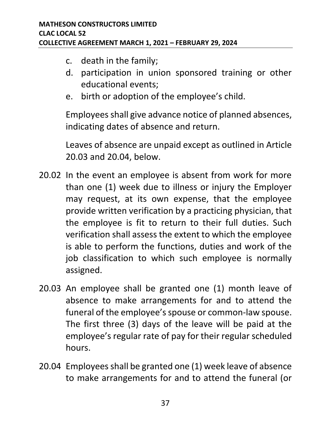- c. death in the family;
- d. participation in union sponsored training or other educational events;
- e. birth or adoption of the employee's child.

Employees shall give advance notice of planned absences, indicating dates of absence and return.

Leaves of absence are unpaid except as outlined in Article 20.03 and 20.04, below.

- 20.02 In the event an employee is absent from work for more than one (1) week due to illness or injury the Employer may request, at its own expense, that the employee provide written verification by a practicing physician, that the employee is fit to return to their full duties. Such verification shall assess the extent to which the employee is able to perform the functions, duties and work of the job classification to which such employee is normally assigned.
- 20.03 An employee shall be granted one (1) month leave of absence to make arrangements for and to attend the funeral of the employee's spouse or common-law spouse. The first three (3) days of the leave will be paid at the employee's regular rate of pay for their regular scheduled hours.
- 20.04 Employees shall be granted one (1) week leave of absence to make arrangements for and to attend the funeral (or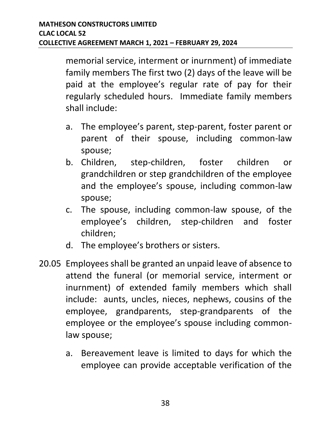memorial service, interment or inurnment) of immediate family members The first two (2) days of the leave will be paid at the employee's regular rate of pay for their regularly scheduled hours. Immediate family members shall include:

- a. The employee's parent, step-parent, foster parent or parent of their spouse, including common-law spouse;
- b. Children, step-children, foster children or grandchildren or step grandchildren of the employee and the employee's spouse, including common-law spouse;
- c. The spouse, including common-law spouse, of the employee's children, step-children and foster children;
- d. The employee's brothers or sisters.
- 20.05 Employees shall be granted an unpaid leave of absence to attend the funeral (or memorial service, interment or inurnment) of extended family members which shall include: aunts, uncles, nieces, nephews, cousins of the employee, grandparents, step-grandparents of the employee or the employee's spouse including commonlaw spouse;
	- a. Bereavement leave is limited to days for which the employee can provide acceptable verification of the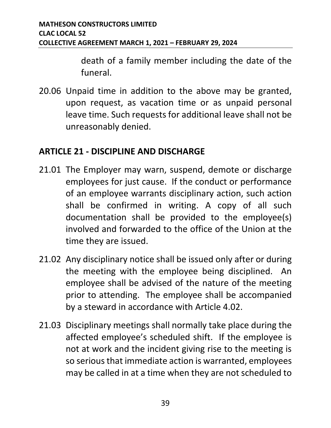death of a family member including the date of the funeral.

20.06 Unpaid time in addition to the above may be granted, upon request, as vacation time or as unpaid personal leave time. Such requests for additional leave shall not be unreasonably denied.

#### <span id="page-42-0"></span>**ARTICLE 21 - DISCIPLINE AND DISCHARGE**

- 21.01 The Employer may warn, suspend, demote or discharge employees for just cause. If the conduct or performance of an employee warrants disciplinary action, such action shall be confirmed in writing. A copy of all such documentation shall be provided to the employee(s) involved and forwarded to the office of the Union at the time they are issued.
- 21.02 Any disciplinary notice shall be issued only after or during the meeting with the employee being disciplined. An employee shall be advised of the nature of the meeting prior to attending. The employee shall be accompanied by a steward in accordance with Article 4.02.
- 21.03 Disciplinary meetings shall normally take place during the affected employee's scheduled shift. If the employee is not at work and the incident giving rise to the meeting is so serious that immediate action is warranted, employees may be called in at a time when they are not scheduled to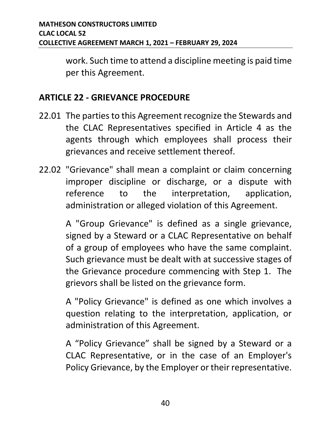work. Such time to attend a discipline meeting is paid time per this Agreement.

#### <span id="page-43-0"></span>**ARTICLE 22 - GRIEVANCE PROCEDURE**

- 22.01 The parties to this Agreement recognize the Stewards and the CLAC Representatives specified in Article 4 as the agents through which employees shall process their grievances and receive settlement thereof.
- 22.02 "Grievance" shall mean a complaint or claim concerning improper discipline or discharge, or a dispute with reference to the interpretation, application, administration or alleged violation of this Agreement.

A "Group Grievance" is defined as a single grievance, signed by a Steward or a CLAC Representative on behalf of a group of employees who have the same complaint. Such grievance must be dealt with at successive stages of the Grievance procedure commencing with Step 1. The grievors shall be listed on the grievance form.

A "Policy Grievance" is defined as one which involves a question relating to the interpretation, application, or administration of this Agreement.

A "Policy Grievance" shall be signed by a Steward or a CLAC Representative, or in the case of an Employer's Policy Grievance, by the Employer or their representative.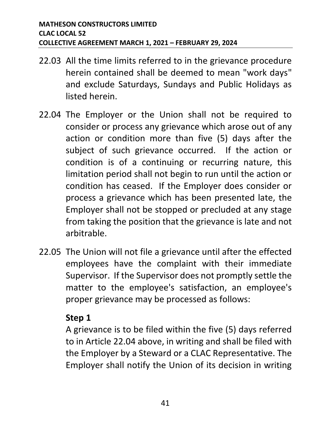- 22.03 All the time limits referred to in the grievance procedure herein contained shall be deemed to mean "work days" and exclude Saturdays, Sundays and Public Holidays as listed herein.
- 22.04 The Employer or the Union shall not be required to consider or process any grievance which arose out of any action or condition more than five (5) days after the subject of such grievance occurred. If the action or condition is of a continuing or recurring nature, this limitation period shall not begin to run until the action or condition has ceased. If the Employer does consider or process a grievance which has been presented late, the Employer shall not be stopped or precluded at any stage from taking the position that the grievance is late and not arbitrable.
- 22.05 The Union will not file a grievance until after the effected employees have the complaint with their immediate Supervisor. If the Supervisor does not promptly settle the matter to the employee's satisfaction, an employee's proper grievance may be processed as follows:

#### **Step 1**

A grievance is to be filed within the five (5) days referred to in Article 22.04 above, in writing and shall be filed with the Employer by a Steward or a CLAC Representative. The Employer shall notify the Union of its decision in writing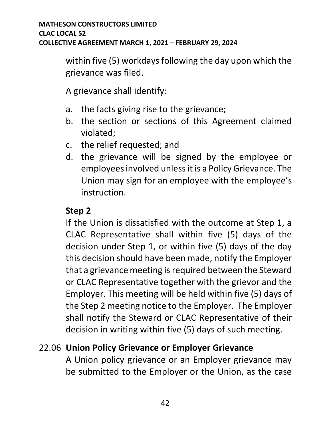within five (5) workdays following the day upon which the grievance was filed.

A grievance shall identify:

- a. the facts giving rise to the grievance;
- b. the section or sections of this Agreement claimed violated;
- c. the relief requested; and
- d. the grievance will be signed by the employee or employees involved unless it is a Policy Grievance. The Union may sign for an employee with the employee's instruction.

#### **Step 2**

If the Union is dissatisfied with the outcome at Step 1, a CLAC Representative shall within five (5) days of the decision under Step 1, or within five (5) days of the day this decision should have been made, notify the Employer that a grievance meeting is required between the Steward or CLAC Representative together with the grievor and the Employer. This meeting will be held within five (5) days of the Step 2 meeting notice to the Employer. The Employer shall notify the Steward or CLAC Representative of their decision in writing within five (5) days of such meeting.

#### 22.06 **Union Policy Grievance or Employer Grievance**

A Union policy grievance or an Employer grievance may be submitted to the Employer or the Union, as the case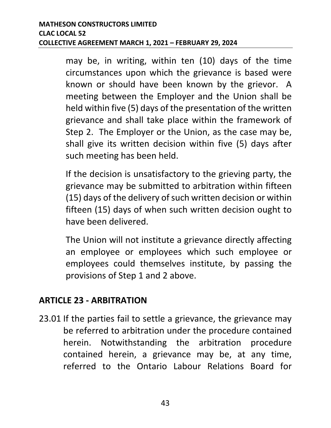may be, in writing, within ten (10) days of the time circumstances upon which the grievance is based were known or should have been known by the grievor. A meeting between the Employer and the Union shall be held within five (5) days of the presentation of the written grievance and shall take place within the framework of Step 2. The Employer or the Union, as the case may be, shall give its written decision within five (5) days after such meeting has been held.

If the decision is unsatisfactory to the grieving party, the grievance may be submitted to arbitration within fifteen (15) days of the delivery of such written decision or within fifteen (15) days of when such written decision ought to have been delivered.

The Union will not institute a grievance directly affecting an employee or employees which such employee or employees could themselves institute, by passing the provisions of Step 1 and 2 above.

#### <span id="page-46-0"></span>**ARTICLE 23 - ARBITRATION**

23.01 If the parties fail to settle a grievance, the grievance may be referred to arbitration under the procedure contained herein. Notwithstanding the arbitration procedure contained herein, a grievance may be, at any time, referred to the Ontario Labour Relations Board for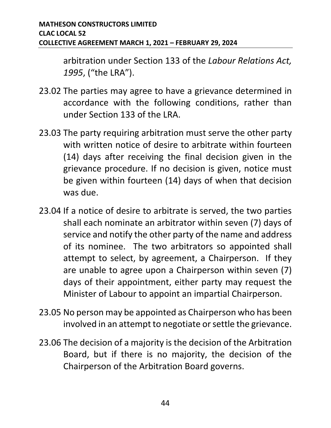arbitration under Section 133 of the *Labour Relations Act, 1995*, ("the LRA").

- 23.02 The parties may agree to have a grievance determined in accordance with the following conditions, rather than under Section 133 of the LRA.
- 23.03 The party requiring arbitration must serve the other party with written notice of desire to arbitrate within fourteen (14) days after receiving the final decision given in the grievance procedure. If no decision is given, notice must be given within fourteen (14) days of when that decision was due.
- 23.04 If a notice of desire to arbitrate is served, the two parties shall each nominate an arbitrator within seven (7) days of service and notify the other party of the name and address of its nominee. The two arbitrators so appointed shall attempt to select, by agreement, a Chairperson. If they are unable to agree upon a Chairperson within seven (7) days of their appointment, either party may request the Minister of Labour to appoint an impartial Chairperson.
- 23.05 No person may be appointed as Chairperson who has been involved in an attempt to negotiate or settle the grievance.
- 23.06 The decision of a majority is the decision of the Arbitration Board, but if there is no majority, the decision of the Chairperson of the Arbitration Board governs.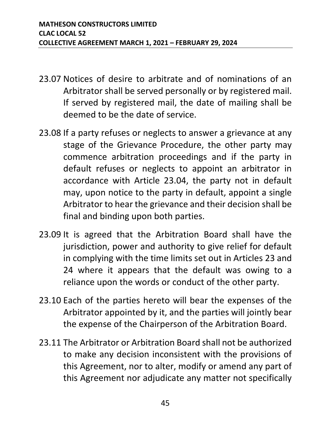- 23.07 Notices of desire to arbitrate and of nominations of an Arbitrator shall be served personally or by registered mail. If served by registered mail, the date of mailing shall be deemed to be the date of service.
- 23.08 If a party refuses or neglects to answer a grievance at any stage of the Grievance Procedure, the other party may commence arbitration proceedings and if the party in default refuses or neglects to appoint an arbitrator in accordance with Article 23.04, the party not in default may, upon notice to the party in default, appoint a single Arbitrator to hear the grievance and their decision shall be final and binding upon both parties.
- 23.09 It is agreed that the Arbitration Board shall have the jurisdiction, power and authority to give relief for default in complying with the time limits set out in Articles 23 and 24 where it appears that the default was owing to a reliance upon the words or conduct of the other party.
- 23.10 Each of the parties hereto will bear the expenses of the Arbitrator appointed by it, and the parties will jointly bear the expense of the Chairperson of the Arbitration Board.
- 23.11 The Arbitrator or Arbitration Board shall not be authorized to make any decision inconsistent with the provisions of this Agreement, nor to alter, modify or amend any part of this Agreement nor adjudicate any matter not specifically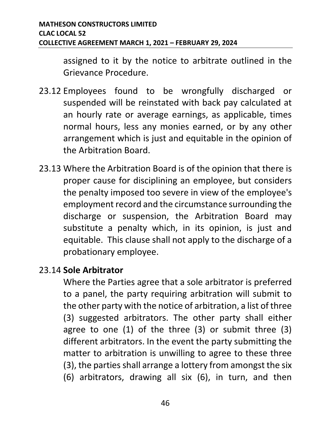assigned to it by the notice to arbitrate outlined in the Grievance Procedure.

- 23.12 Employees found to be wrongfully discharged or suspended will be reinstated with back pay calculated at an hourly rate or average earnings, as applicable, times normal hours, less any monies earned, or by any other arrangement which is just and equitable in the opinion of the Arbitration Board.
- 23.13 Where the Arbitration Board is of the opinion that there is proper cause for disciplining an employee, but considers the penalty imposed too severe in view of the employee's employment record and the circumstance surrounding the discharge or suspension, the Arbitration Board may substitute a penalty which, in its opinion, is just and equitable. This clause shall not apply to the discharge of a probationary employee.

#### 23.14 **Sole Arbitrator**

Where the Parties agree that a sole arbitrator is preferred to a panel, the party requiring arbitration will submit to the other party with the notice of arbitration, a list of three (3) suggested arbitrators. The other party shall either agree to one (1) of the three (3) or submit three (3) different arbitrators. In the event the party submitting the matter to arbitration is unwilling to agree to these three (3), the parties shall arrange a lottery from amongst the six (6) arbitrators, drawing all six (6), in turn, and then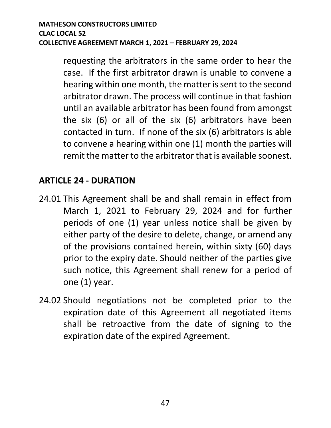requesting the arbitrators in the same order to hear the case. If the first arbitrator drawn is unable to convene a hearing within one month, the matter is sent to the second arbitrator drawn. The process will continue in that fashion until an available arbitrator has been found from amongst the six (6) or all of the six (6) arbitrators have been contacted in turn. If none of the six (6) arbitrators is able to convene a hearing within one (1) month the parties will remit the matter to the arbitrator that is available soonest.

### <span id="page-50-0"></span>**ARTICLE 24 - DURATION**

- 24.01 This Agreement shall be and shall remain in effect from March 1, 2021 to February 29, 2024 and for further periods of one (1) year unless notice shall be given by either party of the desire to delete, change, or amend any of the provisions contained herein, within sixty (60) days prior to the expiry date. Should neither of the parties give such notice, this Agreement shall renew for a period of one (1) year.
- 24.02 Should negotiations not be completed prior to the expiration date of this Agreement all negotiated items shall be retroactive from the date of signing to the expiration date of the expired Agreement.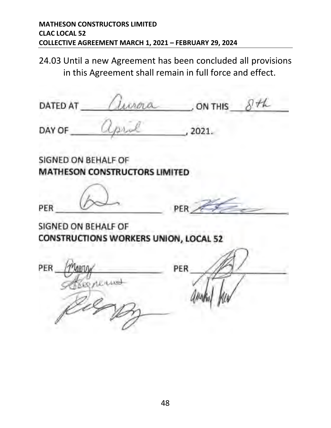24.03 Until a new Agreement has been concluded all provisions in this Agreement shall remain in full force and effect.

urna コナレ DATED AT ON THIS DAY OF 2021. SIGNED ON BEHALF OF **MATHESON CONSTRUCTORS LIMITED** PER PER SIGNED ON BEHALF OF **CONSTRUCTIONS WORKERS UNION, LOCAL 52** PER PER ARTIA Regnering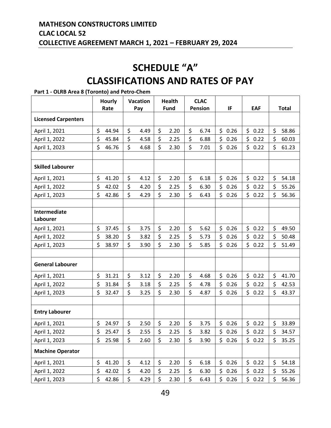# **SCHEDULE "A" CLASSIFICATIONS AND RATES OF PAY**

#### **Hourly Rate Vacation Pay Health Fund CLAC**  Pension **IF FAF Total Licensed Carpenters** April 1, 2021 \$ 44.94 \$ 4.49 \$ 2.20 \$ 6.74 \$ 0.26 \$ 0.22 \$ 58.86 April 1, 2022 \$ 45.84 \$ 4.58 \$ 2.25 \$ 6.88 \$ 0.26 \$ 0.22 \$ 60.03 April 1, 2023 \$ 46.76 \$ 4.68 \$ 2.30 \$ 7.01 \$ 0.26 \$ 0.22 \$ 61.23 **Skilled Labourer** April 1, 2021 \$ 41.20 \$ 4.12 \$ 2.20 \$ 6.18 \$ 0.26 \$ 0.22 \$ 54.18 April 1, 2022 \$ 42.02 \$ 4.20 \$ 2.25 \$ 6.30 \$ 0.26 \$ 0.22 \$ 55.26 April 1, 2023 \$ 42.86 \$ 4.29 \$ 2.30 \$ 6.43 \$ 0.26 \$ 0.22 \$ 56.36 **Intermediate Labourer** April 1, 2021 \$ 37.45 \$ 3.75 \$ 2.20 \$ 5.62 \$ 0.26 \$ 0.22 \$ 49.50 April 1, 2022 \$ 38.20 \$ 3.82 \$ 2.25 \$ 5.73 \$ 0.26 \$ 0.22 \$ 50.48 April 1, 2023 \$ 38.97 \$ 3.90 \$ 2.30 \$ 5.85 \$ 0.26 \$ 0.22 \$ 51.49 **General Labourer** April 1, 2021 \$ 31.21 \$ 3.12 \$ 2.20 \$ 4.68 \$ 0.26 \$ 0.22 \$ 41.70 April 1, 2022 \$ 31.84 \$ 3.18 \$ 2.25 \$ 4.78 \$ 0.26 \$ 0.22 \$ 42.53 April 1, 2023 \$ 32.47 \$ 3.25 \$ 2.30 \$ 4.87 \$ 0.26 \$ 0.22 \$ 43.37 **Entry Labourer** April 1, 2021 \$ 24.97 \$ 2.50 \$ 2.20 \$ 3.75 \$ 0.26 \$ 0.22 \$ 33.89 April 1, 2022 \$ 25.47 \$ 2.55 \$ 2.25 \$ 3.82 \$ 0.26 \$ 0.22 \$ 34.57 April 1, 2023 \$ 25.98 \$ 2.60 \$ 2.30 \$ 3.90 \$ 0.26 \$ 0.22 \$ 35.25 **Machine Operator** April 1, 2021 \$ 41.20 \$ 4.12 \$ 2.20 \$ 6.18 \$ 0.26 \$ 0.22 \$ 54.18 April 1, 2022 \$ 42.02 \$ 4.20 \$ 2.25 \$ 6.30 \$ 0.26 \$ 0.22 \$ 55.26

<span id="page-52-0"></span>**Part 1 - OLRB Area 8 (Toronto) and Petro-Chem**

April 1, 2023 \$ 42.86 \$ 4.29 \$ 2.30 \$ 6.43 \$ 0.26 \$ 0.22 \$ 56.36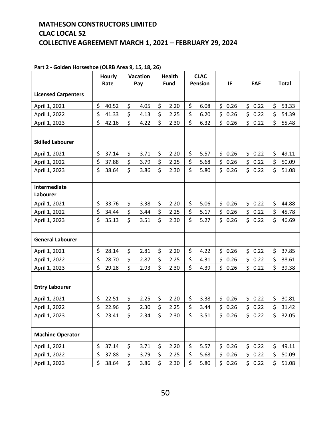#### **MATHESON CONSTRUCTORS LIMITED CLAC LOCAL 52 COLLECTIVE AGREEMENT MARCH 1, 2021 – FEBRUARY 29, 2024**

|                            | <b>Hourly</b><br>Rate | <b>Vacation</b><br>Pay |      | <b>Health</b><br><b>Fund</b> |      | <b>CLAC</b><br><b>Pension</b> |      | IF          | <b>EAF</b>           | <b>Total</b> |       |
|----------------------------|-----------------------|------------------------|------|------------------------------|------|-------------------------------|------|-------------|----------------------|--------------|-------|
| <b>Licensed Carpenters</b> |                       |                        |      |                              |      |                               |      |             |                      |              |       |
|                            |                       |                        |      |                              |      |                               |      |             |                      |              |       |
| April 1, 2021              | \$<br>40.52           | \$                     | 4.05 | \$                           | 2.20 | \$                            | 6.08 | \$0.26      | \$0.22               | \$           | 53.33 |
| April 1, 2022              | \$<br>41.33           | \$                     | 4.13 | \$                           | 2.25 | \$                            | 6.20 | \$<br>0.26  | \$<br>0.22           | \$           | 54.39 |
| April 1, 2023              | \$<br>42.16           | \$                     | 4.22 | \$                           | 2.30 | \$                            | 6.32 | \$<br>0.26  | $\mathsf{S}$<br>0.22 | \$           | 55.48 |
| <b>Skilled Labourer</b>    |                       |                        |      |                              |      |                               |      |             |                      |              |       |
| April 1, 2021              | \$<br>37.14           | \$                     | 3.71 | \$                           | 2.20 | \$                            | 5.57 | \$<br>0.26  | \$<br>0.22           | \$           | 49.11 |
| April 1, 2022              | \$<br>37.88           | \$                     | 3.79 | \$                           | 2.25 | \$                            | 5.68 | \$<br>0.26  | \$<br>0.22           | \$           | 50.09 |
| April 1, 2023              | \$<br>38.64           | \$                     | 3.86 | \$                           | 2.30 | \$                            | 5.80 | \$<br>0.26  | \$<br>0.22           | \$           | 51.08 |
|                            |                       |                        |      |                              |      |                               |      |             |                      |              |       |
| Intermediate<br>Labourer   |                       |                        |      |                              |      |                               |      |             |                      |              |       |
| April 1, 2021              | \$<br>33.76           | \$                     | 3.38 | \$                           | 2.20 | \$                            | 5.06 | \$<br>0.26  | \$<br>0.22           | \$           | 44.88 |
| April 1, 2022              | \$<br>34.44           | \$                     | 3.44 | \$                           | 2.25 | \$                            | 5.17 | \$<br>0.26  | \$<br>0.22           | \$           | 45.78 |
| April 1, 2023              | \$<br>35.13           | \$                     | 3.51 | \$                           | 2.30 | \$                            | 5.27 | \$<br>0.26  | \$<br>0.22           | \$           | 46.69 |
|                            |                       |                        |      |                              |      |                               |      |             |                      |              |       |
| <b>General Labourer</b>    |                       |                        |      |                              |      |                               |      |             |                      |              |       |
| April 1, 2021              | \$<br>28.14           | \$                     | 2.81 | \$                           | 2.20 | \$                            | 4.22 | \$.<br>0.26 | \$<br>0.22           | \$           | 37.85 |
| April 1, 2022              | \$<br>28.70           | \$                     | 2.87 | \$                           | 2.25 | \$                            | 4.31 | \$<br>0.26  | \$<br>0.22           | \$           | 38.61 |
| April 1, 2023              | \$<br>29.28           | \$                     | 2.93 | \$                           | 2.30 | \$                            | 4.39 | \$<br>0.26  | \$<br>0.22           | \$           | 39.38 |
|                            |                       |                        |      |                              |      |                               |      |             |                      |              |       |
| <b>Entry Labourer</b>      |                       |                        |      |                              |      |                               |      |             |                      |              |       |
| April 1, 2021              | \$<br>22.51           | \$                     | 2.25 | \$                           | 2.20 | \$                            | 3.38 | \$<br>0.26  | \$<br>0.22           | \$           | 30.81 |
| April 1, 2022              | \$<br>22.96           | \$                     | 2.30 | \$                           | 2.25 | \$                            | 3.44 | \$<br>0.26  | \$<br>0.22           | \$           | 31.42 |
| April 1, 2023              | \$<br>23.41           | \$                     | 2.34 | \$.                          | 2.30 | \$                            | 3.51 | \$.<br>0.26 | \$0.22               | \$           | 32.05 |
|                            |                       |                        |      |                              |      |                               |      |             |                      |              |       |
| <b>Machine Operator</b>    |                       |                        |      |                              |      |                               |      |             |                      |              |       |
| April 1, 2021              | \$<br>37.14           | \$                     | 3.71 | \$                           | 2.20 | \$                            | 5.57 | \$0.26      | \$0.22               | \$           | 49.11 |
| April 1, 2022              | \$<br>37.88           | \$                     | 3.79 | \$                           | 2.25 | \$                            | 5.68 | \$<br>0.26  | \$0.22               | \$           | 50.09 |
| April 1, 2023              | \$<br>38.64           | \$                     | 3.86 | \$                           | 2.30 | \$                            | 5.80 | \$0.26      | \$0.22               | \$           | 51.08 |

#### **Part 2 - Golden Horseshoe (OLRB Area 9, 15, 18, 26)**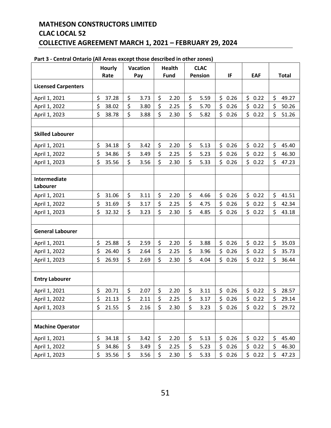#### **MATHESON CONSTRUCTORS LIMITED CLAC LOCAL 52 COLLECTIVE AGREEMENT MARCH 1, 2021 – FEBRUARY 29, 2024**

|                                 | <b>Hourly</b> | <b>Vacation</b> |      | <b>Health</b> |             | <b>CLAC</b> |                |             |            |              |
|---------------------------------|---------------|-----------------|------|---------------|-------------|-------------|----------------|-------------|------------|--------------|
|                                 | Rate          |                 | Pay  |               | <b>Fund</b> |             | <b>Pension</b> | IF          | <b>EAF</b> | <b>Total</b> |
| <b>Licensed Carpenters</b>      |               |                 |      |               |             |             |                |             |            |              |
| April 1, 2021                   | \$<br>37.28   | \$              | 3.73 | \$            | 2.20        | \$          | 5.59           | \$0.26      | \$<br>0.22 | \$<br>49.27  |
| April 1, 2022                   | \$<br>38.02   | \$              | 3.80 | \$            | 2.25        | \$          | 5.70           | \$<br>0.26  | \$<br>0.22 | \$<br>50.26  |
| April 1, 2023                   | \$<br>38.78   | \$              | 3.88 | \$            | 2.30        | \$          | 5.82           | \$<br>0.26  | \$<br>0.22 | \$<br>51.26  |
| <b>Skilled Labourer</b>         |               |                 |      |               |             |             |                |             |            |              |
| April 1, 2021                   | \$<br>34.18   | \$              | 3.42 | \$            | 2.20        | \$          | 5.13           | \$0.26      | \$<br>0.22 | \$<br>45.40  |
| April 1, 2022                   | \$<br>34.86   | \$              | 3.49 | \$            | 2.25        | \$          | 5.23           | \$<br>0.26  | \$<br>0.22 | \$<br>46.30  |
| April 1, 2023                   | \$<br>35.56   | \$              | 3.56 | \$            | 2.30        | \$          | 5.33           | \$<br>0.26  | \$<br>0.22 | \$<br>47.23  |
| <b>Intermediate</b><br>Labourer |               |                 |      |               |             |             |                |             |            |              |
| April 1, 2021                   | \$<br>31.06   | \$              | 3.11 | \$            | 2.20        | \$          | 4.66           | \$0.26      | \$<br>0.22 | \$<br>41.51  |
| April 1, 2022                   | \$<br>31.69   | \$              | 3.17 | \$            | 2.25        | \$          | 4.75           | \$.<br>0.26 | \$<br>0.22 | \$<br>42.34  |
| April 1, 2023                   | \$<br>32.32   | \$              | 3.23 | \$            | 2.30        | \$          | 4.85           | \$0.26      | \$<br>0.22 | \$<br>43.18  |
| <b>General Labourer</b>         |               |                 |      |               |             |             |                |             |            |              |
| April 1, 2021                   | \$<br>25.88   | \$              | 2.59 | \$            | 2.20        | \$          | 3.88           | \$0.26      | \$<br>0.22 | \$<br>35.03  |
| April 1, 2022                   | \$<br>26.40   | \$              | 2.64 | \$            | 2.25        | \$          | 3.96           | \$<br>0.26  | \$<br>0.22 | \$<br>35.73  |
| April 1, 2023                   | \$<br>26.93   | \$              | 2.69 | \$            | 2.30        | \$          | 4.04           | \$0.26      | \$0.22     | \$<br>36.44  |
| <b>Entry Labourer</b>           |               |                 |      |               |             |             |                |             |            |              |
| April 1, 2021                   | \$<br>20.71   | \$              | 2.07 | \$            | 2.20        | \$          | 3.11           | \$.<br>0.26 | \$<br>0.22 | \$<br>28.57  |
| April 1, 2022                   | \$<br>21.13   | \$              | 2.11 | \$            | 2.25        | \$          | 3.17           | \$<br>0.26  | \$<br>0.22 | \$<br>29.14  |
| April 1, 2023                   | \$<br>21.55   | \$              | 2.16 | \$            | 2.30        | \$          | 3.23           | \$0.26      | \$0.22     | \$<br>29.72  |
| <b>Machine Operator</b>         |               |                 |      |               |             |             |                |             |            |              |
| April 1, 2021                   | \$<br>34.18   | \$              | 3.42 | \$            | 2.20        | \$          | 5.13           | \$0.26      | \$0.22     | \$<br>45.40  |
| April 1, 2022                   | \$<br>34.86   | \$              | 3.49 | \$            | 2.25        | \$          | 5.23           | \$0.26      | \$0.22     | \$<br>46.30  |
| April 1, 2023                   | \$<br>35.56   | \$              | 3.56 | \$            | 2.30        | \$          | 5.33           | \$0.26      | \$0.22     | \$<br>47.23  |

#### **Part 3 - Central Ontario (All Areas except those described in other zones)**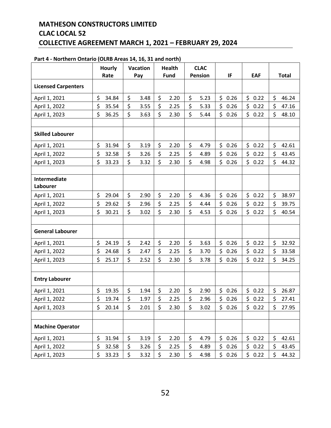#### **MATHESON CONSTRUCTORS LIMITED CLAC LOCAL 52 COLLECTIVE AGREEMENT MARCH 1, 2021 – FEBRUARY 29, 2024**

|                            | <b>Hourly</b> | <b>Vacation</b>    |      | <b>Health</b> |             | <b>CLAC</b><br><b>Pension</b> |      |            |            | <b>Total</b> |       |
|----------------------------|---------------|--------------------|------|---------------|-------------|-------------------------------|------|------------|------------|--------------|-------|
|                            | Rate          |                    | Pay  |               | <b>Fund</b> |                               |      | IF         | <b>EAF</b> |              |       |
| <b>Licensed Carpenters</b> |               |                    |      |               |             |                               |      |            |            |              |       |
| April 1, 2021              | \$<br>34.84   | \$                 | 3.48 | \$            | 2.20        | \$                            | 5.23 | \$0.26     | \$0.22     | \$           | 46.24 |
| April 1, 2022              | \$<br>35.54   | \$                 | 3.55 | \$            | 2.25        | \$                            | 5.33 | \$<br>0.26 | \$<br>0.22 | \$           | 47.16 |
| April 1, 2023              | \$<br>36.25   | \$                 | 3.63 | \$            | 2.30        | \$                            | 5.44 | \$0.26     | \$<br>0.22 | \$           | 48.10 |
|                            |               |                    |      |               |             |                               |      |            |            |              |       |
| <b>Skilled Labourer</b>    |               |                    |      |               |             |                               |      |            |            |              |       |
| April 1, 2021              | \$<br>31.94   | \$                 | 3.19 | \$            | 2.20        | \$                            | 4.79 | \$<br>0.26 | \$<br>0.22 | \$           | 42.61 |
| April 1, 2022              | \$<br>32.58   | \$                 | 3.26 | \$            | 2.25        | \$                            | 4.89 | \$<br>0.26 | \$<br>0.22 | \$           | 43.45 |
| April 1, 2023              | \$<br>33.23   | $\mathsf{\dot{S}}$ | 3.32 | \$            | 2.30        | $\zeta$                       | 4.98 | \$0.26     | \$<br>0.22 | \$           | 44.32 |
|                            |               |                    |      |               |             |                               |      |            |            |              |       |
| Intermediate<br>Labourer   |               |                    |      |               |             |                               |      |            |            |              |       |
| April 1, 2021              | \$<br>29.04   | \$                 | 2.90 | \$            | 2.20        | \$                            | 4.36 | \$0.26     | \$<br>0.22 | \$           | 38.97 |
| April 1, 2022              | \$<br>29.62   | \$                 | 2.96 | \$            | 2.25        | \$                            | 4.44 | \$<br>0.26 | \$<br>0.22 | \$           | 39.75 |
| April 1, 2023              | \$<br>30.21   | \$                 | 3.02 | \$            | 2.30        | \$                            | 4.53 | \$0.26     | \$<br>0.22 | \$           | 40.54 |
|                            |               |                    |      |               |             |                               |      |            |            |              |       |
| <b>General Labourer</b>    |               |                    |      |               |             |                               |      |            |            |              |       |
| April 1, 2021              | \$<br>24.19   | \$                 | 2.42 | \$            | 2.20        | \$                            | 3.63 | \$0.26     | \$<br>0.22 | \$           | 32.92 |
| April 1, 2022              | \$<br>24.68   | \$                 | 2.47 | \$            | 2.25        | \$                            | 3.70 | \$0.26     | \$<br>0.22 | \$           | 33.58 |
| April 1, 2023              | \$<br>25.17   | \$                 | 2.52 | \$            | 2.30        | \$                            | 3.78 | \$0.26     | \$<br>0.22 | \$           | 34.25 |
|                            |               |                    |      |               |             |                               |      |            |            |              |       |
| <b>Entry Labourer</b>      |               |                    |      |               |             |                               |      |            |            |              |       |
| April 1, 2021              | \$<br>19.35   | \$                 | 1.94 | \$            | 2.20        | \$                            | 2.90 | \$<br>0.26 | \$<br>0.22 | \$           | 26.87 |
| April 1, 2022              | \$<br>19.74   | \$                 | 1.97 | \$            | 2.25        | \$                            | 2.96 | \$<br>0.26 | \$<br>0.22 | \$           | 27.41 |
| April 1, 2023              | \$<br>20.14   | \$                 | 2.01 | \$            | 2.30        | \$                            | 3.02 | \$0.26     | \$0.22     | \$           | 27.95 |
|                            |               |                    |      |               |             |                               |      |            |            |              |       |
| <b>Machine Operator</b>    |               |                    |      |               |             |                               |      |            |            |              |       |
| April 1, 2021              | \$<br>31.94   | \$                 | 3.19 | \$            | 2.20        | \$                            | 4.79 | \$0.26     | \$0.22     | \$           | 42.61 |
| April 1, 2022              | \$<br>32.58   | \$                 | 3.26 | \$            | 2.25        | \$                            | 4.89 | \$<br>0.26 | \$<br>0.22 | \$           | 43.45 |
| April 1, 2023              | \$<br>33.23   | \$                 | 3.32 | \$            | 2.30        | \$                            | 4.98 | \$0.26     | \$0.22     | \$           | 44.32 |

#### **Part 4 - Northern Ontario (OLRB Areas 14, 16, 31 and north)**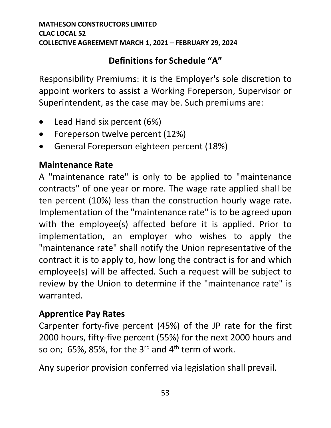### **Definitions for Schedule "A"**

Responsibility Premiums: it is the Employer's sole discretion to appoint workers to assist a Working Foreperson, Supervisor or Superintendent, as the case may be. Such premiums are:

- Lead Hand six percent (6%)
- Foreperson twelve percent (12%)
- General Foreperson eighteen percent (18%)

#### **Maintenance Rate**

A "maintenance rate" is only to be applied to "maintenance contracts" of one year or more. The wage rate applied shall be ten percent (10%) less than the construction hourly wage rate. Implementation of the "maintenance rate" is to be agreed upon with the employee(s) affected before it is applied. Prior to implementation, an employer who wishes to apply the "maintenance rate" shall notify the Union representative of the contract it is to apply to, how long the contract is for and which employee(s) will be affected. Such a request will be subject to review by the Union to determine if the "maintenance rate" is warranted.

#### **Apprentice Pay Rates**

Carpenter forty-five percent (45%) of the JP rate for the first 2000 hours, fifty-five percent (55%) for the next 2000 hours and so on; 65%, 85%, for the  $3^{rd}$  and  $4^{th}$  term of work.

Any superior provision conferred via legislation shall prevail.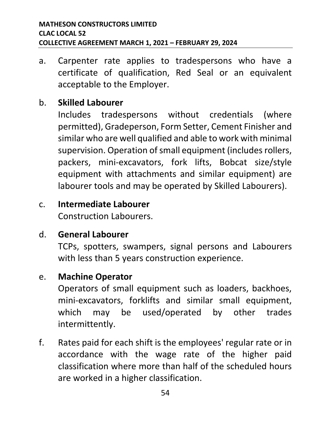a. Carpenter rate applies to tradespersons who have a certificate of qualification, Red Seal or an equivalent acceptable to the Employer.

#### b. **Skilled Labourer**

Includes tradespersons without credentials (where permitted), Gradeperson, Form Setter, Cement Finisher and similar who are well qualified and able to work with minimal supervision. Operation of small equipment (includes rollers, packers, mini-excavators, fork lifts, Bobcat size/style equipment with attachments and similar equipment) are labourer tools and may be operated by Skilled Labourers).

# c. **Intermediate Labourer**

Construction Labourers.

#### d. **General Labourer**

TCPs, spotters, swampers, signal persons and Labourers with less than 5 years construction experience.

#### e. **Machine Operator**

Operators of small equipment such as loaders, backhoes, mini-excavators, forklifts and similar small equipment, which may be used/operated by other trades intermittently.

f. Rates paid for each shift is the employees' regular rate or in accordance with the wage rate of the higher paid classification where more than half of the scheduled hours are worked in a higher classification.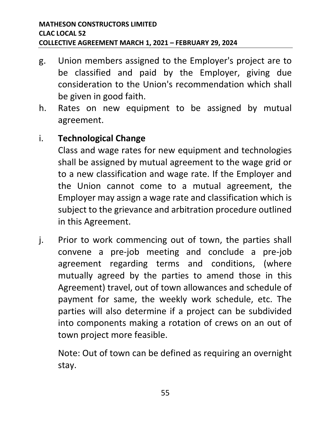- g. Union members assigned to the Employer's project are to be classified and paid by the Employer, giving due consideration to the Union's recommendation which shall be given in good faith.
- h. Rates on new equipment to be assigned by mutual agreement.

#### i. **Technological Change**

Class and wage rates for new equipment and technologies shall be assigned by mutual agreement to the wage grid or to a new classification and wage rate. If the Employer and the Union cannot come to a mutual agreement, the Employer may assign a wage rate and classification which is subject to the grievance and arbitration procedure outlined in this Agreement.

j. Prior to work commencing out of town, the parties shall convene a pre-job meeting and conclude a pre-job agreement regarding terms and conditions, (where mutually agreed by the parties to amend those in this Agreement) travel, out of town allowances and schedule of payment for same, the weekly work schedule, etc. The parties will also determine if a project can be subdivided into components making a rotation of crews on an out of town project more feasible.

Note: Out of town can be defined as requiring an overnight stay.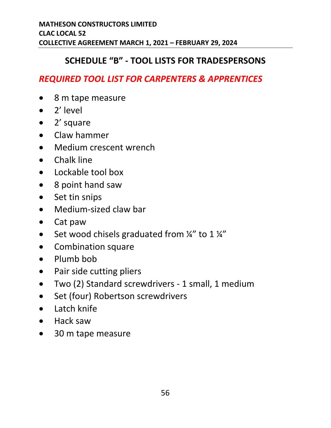#### **SCHEDULE "B" - TOOL LISTS FOR TRADESPERSONS**

#### <span id="page-59-0"></span>*REQUIRED TOOL LIST FOR CARPENTERS & APPRENTICES*

- 8 m tape measure
- 2' level
- 2' square
- Claw hammer
- Medium crescent wrench
- Chalk line
- Lockable tool box
- 8 point hand saw
- Set tin snips
- Medium-sized claw bar
- Cat paw
- Set wood chisels graduated from  $\frac{1}{4}$ " to 1  $\frac{1}{4}$ "
- Combination square
- Plumb bob
- Pair side cutting pliers
- Two (2) Standard screwdrivers 1 small, 1 medium
- Set (four) Robertson screwdrivers
- Latch knife
- Hack saw
- 30 m tape measure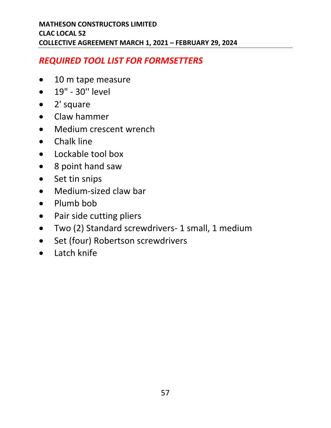#### *REQUIRED TOOL LIST FOR FORMSETTERS*

- 10 m tape measure
- 19" 30'' level
- 2' square
- Claw hammer
- Medium crescent wrench
- Chalk line
- Lockable tool box
- 8 point hand saw
- Set tin snips
- Medium-sized claw bar
- Plumb bob
- Pair side cutting pliers
- Two (2) Standard screwdrivers- 1 small, 1 medium
- Set (four) Robertson screwdrivers
- Latch knife